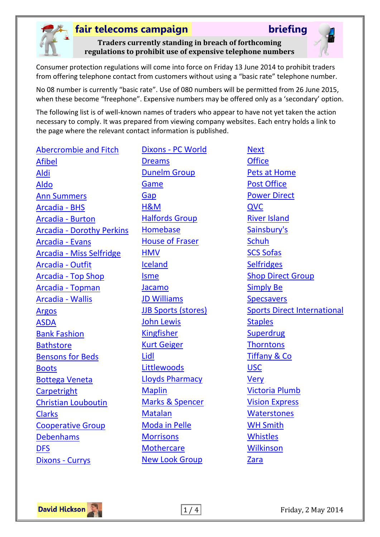

**Traders currently standing in breach of forthcoming regulations to prohibit use of expensive telephone numbers**

Consumer protection regulations will come into force on Friday 13 June 2014 to prohibit traders from offering telephone contact from customers without using a "basic rate" telephone number.

No 08 number is currently "basic rate". Use of 080 numbers will be permitted from 26 June 2015, when these become "freephone". Expensive numbers may be offered only as a 'secondary' option.

The following list is of well-known names of traders who appear to have not yet taken the action necessary to comply. It was prepared from viewing company websites. Each entry holds a link to the page where the relevant contact information is published.

[Abercrombie and Fitch](https://abercrombie.custhelp.com/app/call_us/) [Afibel](http://www.afibel.co.uk/pages.php?cID=12&pID=16) [Aldi](https://customerservice.aldi.co.uk/contact) [Aldo](https://www.aldoshoes.com/uk/contact) [Ann Summers](http://www.annsummers.com/page/ContactUs) [Arcadia -](http://www.bhs.co.uk/en/bhuk/category/contact-us-1020306/home) BHS [Arcadia -](http://www.burton.co.uk/webapp/wcs/stores/servlet/CatalogNavigationSearchResultCmd?catalogId=33052&storeId=12551&langId=-1&viewAllFlag=false&categoryId=281999&interstitial=true#fragment-11) Burton Arcadia - [Dorothy Perkins](http://www.dorothyperkins.com/webapp/wcs/stores/servlet/CatalogNavigationSearchResultCmd?catalogId=33053&storeId=12552&langId=-1&viewAllFlag=false&categoryId=278505&interstitial=true#fragment-11) [Arcadia -](http://www.evans.co.uk/en/evuk/category/help-250125/home?geoip=noredirect&viewAllFlag=false&TS=1316168327862#fragment-8) Evans Arcadia - [Miss Selfridge](http://www.missselfridge.com/webapp/wcs/stores/servlet/CatalogNavigationSearchResultCmd?catalogId=33055&storeId=12554&langId=-1&viewAllFlag=false&categoryId=247986&interstitial=true&TS=1292254208965&geoip=noredirect) [Arcadia -](http://www.outfitfashion.com/en/ouuk/category/help-contact-us-1885818/home?viewAllFlag=false) Outfit Arcadia - [Top Shop](https://www.topshop.com/webapp/wcs/stores/servlet/ContactUs?catalogId=33057&storeId=12556&krypto=bw2BpuZQvDIRSMcapRzCKajkkhzzMsKHg%2Fzdb6gCzzE%3D) [Arcadia -](http://www.topman.com/en/tmuk/category/contact-us-140305/home?geoip=noredirect&viewAllFlag=false) Topman [Arcadia -](http://www.wallis.co.uk/en/wluk/category/contact-us-265759/home?geoip=noredirect&viewAllFlag=false) Wallis [Argos](http://www.argos.co.uk/static/StaticDisplay/includeName/ContactUs.htm) [ASDA](https://asda.custhelp.com/app/answers/detail_grow/a_id/768/session/L3RpbWUvMTM5ODI5Mjk4OS9zaWQvWERpKjJ5U2w%3D) [Bank Fashion](http://www.bankfashion.co.uk/customer-service/contactus) **[Bathstore](http://www.bathstore.com/contact-us)** [Bensons for Beds](http://www.bensonsforbeds.co.uk/contactus/) [Boots](http://www.boots.com/en/Help/Contact-Us/) [Bottega](http://help.bottegaveneta.com/system/selfservice.controller?CMD=ESCALATION_REQUEST&CONFIGURATION=1268&LANGUAGE=en&PARTITION_ID=1&USERTYPE=1&secureFlag=false) Veneta **[Carpetright](https://www.carpetright.co.uk/customer-service/contact-us/)** [Christian Louboutin](http://eu.christianlouboutin.com/fr_fr/clouboutin_storelocator/index/details/id/254/) [Clarks](http://www.clarks.co.uk/contactus) [Cooperative Group](http://www.co-operative.coop/contact-us/) [Debenhams](https://www.debenhams.com/wcsstore/DebenhamsUKSite/faq/our_stores/contact_us.html) [DFS](http://www.dfs.co.uk/content/contact-us) [Dixons -](http://www.currys.co.uk/gbuk/contact-us-1181-theme.html) Currys

Dixons - [PC World](http://www.pcworld.co.uk/gbuk/contact-us-956-theme.html) [Dreams](http://www.dreams.co.uk/frequently-asked-questions) [Dunelm Group](https://www.dunelm-mill.com/webapp/wcs/stores/servlet/ContactUsView?storeId=10551&msg=&catalogId=11100&langId=-1&krypto=gLcslIuEmItICMuL3rv17w%3D%3D&ddkey=http:ContactUsView) [Game](http://www.game.co.uk/webapp/wcs/stores/servlet/AtoZStoreLocatorResultsView?activeOnly=true&catalogId=10201&langId=44&clickAndCollect=false&storeId=10151&indexValue=Z) [Gap](http://www.gap.co.uk/customerService/info.do?cid=2136) [H&M](https://www.hm.com/gb/contact) [Halfords Group](http://www.halfordscompany.com/contact/contact-details) [Homebase](https://www.homeretailgroup.com/contact-us/) [House of Fraser](http://www.houseoffraser.co.uk/on/demandware.store/Sites-hof-Site/default/ContactUS-EnquiryForm) **[HMV](http://www.hmv.com/contact-us)** [Iceland](https://www.iceland.co.uk/contact-us) [Isme](http://www.isme.com/web/en/contact.page) [Jacamo](https://www.jacamo.co.uk/shop/contactus.jsp) [JD Williams](https://www.jdwilliams.co.uk/shop/contactus.jsp) [JJB Sports \(stores\)](http://www.jjbsports.com/HarrogateVictoria-store-0390) [John Lewis](http://www.johnlewis.com/customer-services/essential-information#cq-i-contact) [Kingfisher](https://customerservice.aldi.co.uk/contact) [Kurt Geiger](http://www.kurtgeiger.com/customer-services/contact-us) [Lidl](http://www.lidl.co.uk/cps/rde/SID-ED66A092-51B95798/www_lidl_uk/hs.xsl/customer-service-helpline.htm) **[Littlewoods](http://www.littlewoods.com/help/en/contact-us.page)** [Lloyds Pharmacy](http://www.lloydspharmacy.com/webapp/wcs/stores/servlet/ContactUs?catalogId=11101&langId=44&storeId=10151) [Maplin](http://www.maplin.co.uk/help-centre) [Marks & Spencer](http://www.marksandspencer.com/MSContactUsPhoneAndPostView?contactby=phone&categoryIdentifier=SC_Level_1_1205919&storeId=10151&langId=-24) [Matalan](http://www.matalan.co.uk/customer-services/contact) [Moda in Pelle](http://www.modainpelle.com/contactus.aspx) **[Morrisons](https://your.morrisons.com/Help-and-information/Contact-us/) [Mothercare](http://help.mothercare.com/help/other_info/customer_service/operation_times)** [New Look Group](http://www.newlookgroup.com/contact-us)

**[Next](http://help.next.co.uk/Section.aspx?ItemId=10466) [Office](http://www.office.co.uk/view/content/contactus-info-page)** [Pets at Home](http://www.petsathome.com/shop/en/pets/contact-us) [Post Office](http://www.postoffice.co.uk/contact-us) [Power Direct](http://www.powerdirect.co.uk/contact-us/#custservice) [QVC](http://www.qvcuk.com/contactUs.content.html?cookie=set&viewType=gallery&pageSize=24) [River Island](http://www.riverisland.com/how-can-we-help/contact-us) [Sainsbury's](http://www.sainsburys.co.uk/sol/contact_us/contact_us.jsp) **[Schuh](http://www.schuh.co.uk/contact-us/)** [SCS Sofas](http://www.scs.co.uk/customer-care/) **[Selfridges](http://www.selfridges.com/en/StaticPage/ContactUs/)** [Shop Direct Group](http://www.shopdirect.com/home-page/contact-us/) [Simply Be](https://www.simplybe.co.uk/shop/contactus.jsp) **[Specsavers](http://www.specsavers.co.uk/contact-lenses/lensmail-support)** [Sports Direct International](http://www.sportsdirectplc.com/contact-us.aspx) **[Staples](http://www.staples.co.uk/Wrapper.aspx?param=contactus-phone-fax)** [Superdrug](http://www.superdrug.com/page/contactus) **[Thorntons](http://www.thorntons.co.uk/custserv/contactus.jsp)** [Tiffany & Co](http://www.tiffany.co.uk/Service/FaqOverlay.aspx?faqCode=linkshippingratestimes) [USC](http://www.usc.co.uk/CustomerServices/ContactUs/ContactForm) [Very](http://www.very.co.uk/web/en/contact.page) [Victoria Plumb](https://www.victoriaplumb.com/contact_us.html) [Vision Express](https://www.visionexpress.com/customer-services/contact-us/) **[Waterstones](http://www.waterstones.com/waterstonesweb/pages/help-contact-us/200000692/)** [WH Smith](http://www.whsmith.co.uk/fcp/content/contact-us/content) **[Whistles](http://www.whistles.co.uk/fcp/content/service_contact/content)** [Wilkinson](http://www.wilko.com/helpguide/general-customer-queries/page/contact_generalqueries) [Zara](http://www.zara.com/uk/en/contact-us-c11113.html)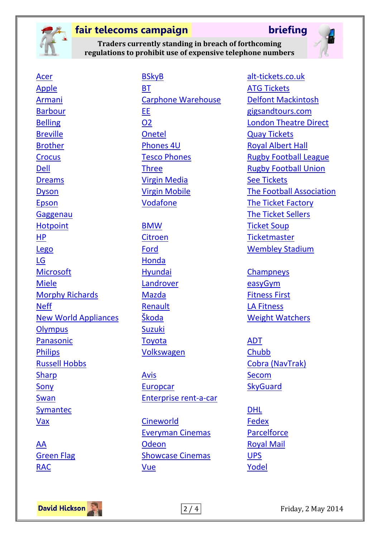

[BSkyB](http://corporate.sky.com/utilities/contact_us)

**Traders currently standing in breach of forthcoming regulations to prohibit use of expensive telephone numbers**



[Acer](http://www.acer.co.uk/ac/en/GB/content/service-contact) [Apple](http://www.apple.com/uk/contact/) [Armani](http://www.armani.com/cms/help/contactform.asp?tskay=6207054B) [Barbour](http://www.barbour.com/static/contactus) [Belling](http://www.belling.co.uk/customer-care/) [Breville](http://www.breville.co.uk/get-in-touch) [Brother](http://www.brother.co.uk/g3.cfm/s_page/204620) **[Crocus](http://www.crocus.co.uk/customerservice/)** [Dell](http://www.dell.com/support/contents/uk/en/ukdhsc/article/Contact-Information/Customer-Support/customer-support-phone-numbers) **[Dreams](http://www.dreams.co.uk/frequently-asked-questions)** [Dyson](http://www.dyson.co.uk/Support/CustomerService.aspx) [Epson](http://www.epson.co.uk/gb/en/viewcon/corporatesite/cms/index/6) **[Gaggenau](http://www.gaggenaucustomerservice.co.uk/gaggenau/CustomerService.html) [Hotpoint](http://www.hotpoint.co.uk/contact-us)** [HP](http://www8.hp.com/uk/en/contact-hp/phone-assist.html) [Lego](http://service.lego.com/en-gb/contactus) [LG](http://www.lg.com/uk/support) **[Microsoft](http://support.microsoft.com/gp/customer-service-phone-numbers/en-gb)** [Miele](http://www.miele.co.uk/contact-us/) [Morphy Richards](http://www.morphyrichards.co.uk/support/morphy-richards-support/customer-care/) [Neff](http://customerservice.neff.co.uk/) [New World Appliances](http://www.newworldappliances.co.uk/customer-care/repairs-installations/) **[Olympus](http://www.olympus.co.uk/site/en/c/cameras_support/contact/index.html)** [Panasonic](http://business.panasonic.co.uk/computer-product/contact-toughbook-support) **[Philips](http://www.support.philips.com/support/contact/contact_page.jsp?userLanguage=en&userCountry=gb)** [Russell Hobbs](http://uk.russellhobbs.com/contact_us.html) **[Sharp](http://www.sharp.co.uk/cps/rde/xchg/gb/hs.xsl/-/html/support.htm)** [Sony](http://services.sony.co.uk/support/en/contacts/ha) [Swan](http://www.swan-brand.co.uk/contacts/) [Symantec](http://www.symantec.com/support/assistance_care.jsp) [Vax](http://www.vax.co.uk/contact/)

[AA](http://www.theaa.com/aboutaa/complaints.html) [Green Flag](http://www.greenflag.com/news/complaints.html) [RAC](http://www.rac.co.uk/contact-us/breakdown)

**[BT](https://btbusiness.custhelp.com/app/contact#h=eyJlbGVtZW50IjoiY29udGFjdExpbmtfNzUwXzI2NDdfMjY1NCIsInN0ZXBJZHgiOjIsInBhcmVudF9zdGVwSWR4IjoxfQ..)** [Carphone Warehouse](https://selfhelp.carphonewarehouse.com/SelfHelp/request.do?forward=contactus) [EE](http://explore.ee.co.uk/get-in-touch) [O2](http://www.o2.co.uk/contactus) [Onetel](http://www.onetel.co.uk/legal/contact-us.html) [Phones 4U](http://www.phones4u.co.uk/contact-us) [Tesco Phones](http://phone-shop.tesco.com/contact-us.aspx) [Three](http://www.three.co.uk/Support/Contact_Us/Complaints_code) [Virgin Media](http://www.virgin.net/customers/contactus/) [Virgin Mobile](http://www.virginmobile.com/vm/genericContent.do?contentId=contact.us.footer.sm013) [Vodafone](http://www.vodafone.co.uk/contact-us/index.htm)

[BMW](http://www.bmw.co.uk/en_GB/footer/q-and-a/faq/general-q-and-a.html) [Citroen](http://www.citroen.co.uk/contact-us/general-enquiries/contact-citroen/) [Ford](http://www.ford.co.uk/Footer/ContactUs#tab001-contentpane-0) [Honda](http://www.honda.co.uk/contactus/) [Hyundai](http://www.hyundai.co.uk/contact-us) [Landrover](http://www.landrover.com/gb/en/lr/contact-us/contact-us/) [Mazda](http://www.mazda.co.uk/contact-us-page/) [Renault](http://www.renault.co.uk/ownerservices/customerservice/) [Škoda](http://www.skoda.co.uk/about-us/contact-us) [Suzuki](https://www.suzuki-gb.co.uk/motorcycles/about/contact-us/) **[Toyota](https://www.toyota.co.uk/contactus)** [Volkswagen](https://www.volkswagen.co.uk/about-us/contact)

[Avis](http://www.avis.co.uk/CustomerService/contacts) [Europcar](http://www.europcar.co.uk/EBE/module/render/Contact-Us) [Enterprise rent-a-car](http://www.enterprise.co.uk/car_rental/contactUs.do)

**[Cineworld](https://www.cineworld.co.uk/contact)** [Everyman Cinemas](http://www.everymancinema.com/contact-us/) **[Odeon](http://www.odeon.co.uk/contactus/)** [Showcase Cinemas](http://www.showcasecinemas.co.uk/contact-us) [Vue](https://vue.secure.force.com/help/articles/FAQ/How-can-I-contact-customer-services/?l=en_US&fs=Search&pn=1)

[alt-tickets.co.uk](http://alt-tickets.co.uk/alttickets/contact.aspx) [ATG Tickets](http://www.atgtickets.com/customer-care/contact-us/) [Delfont Mackintosh](http://www.delfontmackintosh.co.uk/About/FAQ.asp) [gigsandtours.com](http://www.gigsandtours.com/content/faq) [London Theatre Direct](http://www.londontheatredirect.com/ContactUs.aspx) [Quay Tickets](https://www.quaytickets.com/) [Royal Albert Hall](http://www.royalalberthall.com/contact/default.aspx) [Rugby Football League](http://www.rugbyleaguetickets.co.uk/superleague) [Rugby Football Union](http://www.rfu.com/abouttherfu/contactus) [See Tickets](http://www.seetickets.com/content/faq) [The Football Association](http://www.thefa.com/contact-thefa) [The Ticket Factory](https://www.theticketfactory.com/default/online/article/Contact-Us) [The Ticket Sellers](http://www.theticketsellers.co.uk/contact/) [Ticket Soup](http://www.ticketsoup.com/help/default.aspx) **[Ticketmaster](http://www.ticketmaster.co.uk/h/contact_us.html)** [Wembley Stadium](http://www.wembleystadium.com/Organisation/Contact-Us)

**[Champneys](http://www.champneys.com/contact-us/)** [easyGym](http://www.easygym.co.uk/contact/payment-enquiries/) [Fitness First](http://www.fitnessfirst.co.uk/contact-us/) [LA Fitness](http://www.lafitness.co.uk/contact-us/) [Weight Watchers](https://www.weightwatchers.co.uk/help/index.aspx?pageid=1073932)

- [ADT](http://www.adt.co.uk/existing-customers) **[Chubb](http://www.chubb.co.uk/utcfs/Templates/Pages/Template-50/0,8061,pageId%3D13939%26siteId%3D403,00.html)** [Cobra \(NavTrak\)](http://www.cobravehiclesecurity.co.uk/contact-cobra/phone.aspx) **[Secom](http://www.secom.plc.uk/contact-us/) [SkyGuard](http://www.skyguardgroup.com/support.aspx)**
- [DHL](http://www.dhl.co.uk/en/contact_centre/contact_express.html) [Fedex](http://www.fedex.com/gb/domestic/contact/) **[Parcelforce](http://www.parcelforce.com/home/contact-us)** [Royal Mail](http://www.royalmail.com/personal/help-and-support/I-need-to-contact-royal-mail) [UPS](http://www.ups.com/content/gb/en/contact/index.html) [Yodel](http://www.yodel.co.uk/contact-us)

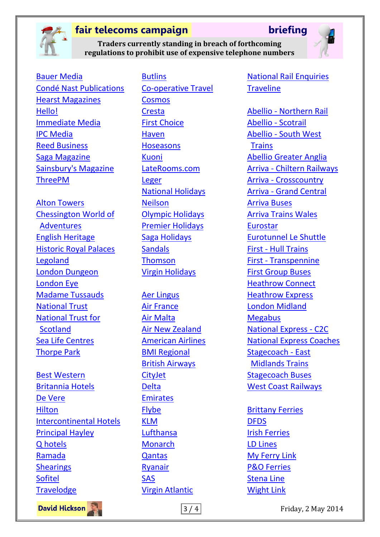

### **Traders currently standing in breach of forthcoming regulations to prohibit use of expensive telephone numbers**



[Bauer Media](http://www.greatmagazines.co.uk/contact.html) [Condé Nast Publications](https://www.magazineboutique.co.uk/store/magboutique_info.asp?link=contact&secure=&sid=3673) [Hearst Magazines](http://www.qualitymagazines.co.uk/store/custompage.asp?customid=478) [Hello!](http://contact.hellomagazine.com/subs-enquiries.html) [Immediate Media](http://www.buysubscriptions.com/contact-us) [IPC Media](https://www.myipcsubscription.com/needhelp.aspx) [Reed Business](http://www.reedbusiness.com/contacts/) [Saga Magazine](https://www.saga.co.uk/contact-us.aspx?tabid=magazine) [Sainsbury's Magazine](https://sainsburysmagazine.subscribeonline.co.uk/contact-us) [ThreePM](http://www.magazinesubscriptions.co.uk/contact-faq)

[Alton Towers](http://www.altontowers.com/contact-us/) [Chessington World of](http://www.chessington.com/misc/contact-us.aspx)  [Adventures](http://www.chessington.com/misc/contact-us.aspx) [English Heritage](http://www.english-heritage.org.uk/about/contact-us/enquiries/) [Historic Royal Palaces](http://www.hrp.org.uk/AboutUs/ContactUs/) [Legoland](http://www.legoland.co.uk/About-LEGOLAND/Contact-Us/General-Enquiries-/) [London Dungeon](http://www.thedungeons.com/london/en/misc/contact-london-dungeon.aspx) [London Eye](http://www.londoneye.com/contactus.aspx) [Madame Tussauds](http://www.madametussauds.com/london/contactus.aspx) [National Trust](http://www.nationaltrust.org.uk/contact-us/contact-details/) [National Trust for](http://www.nts.org.uk/ContactUs)  **[Scotland](http://www.nts.org.uk/ContactUs)** [Sea Life Centres](http://www.visitsealife.com/birmingham/plan-your-visit/contact-us.aspx) **[Thorpe Park](https://www.thorpepark.com/misc/contact-us.aspx)** 

[Best Western](http://www.bestwestern.co.uk/contactus/default.aspx) [Britannia Hotels](http://www.britanniahotels.com/contact-us/customer-services/) [De Vere](http://www.devere-hotels.co.uk/general/contact-us.html) **[Hilton](https://secure.hilton.com/en/hi/feedback/hrwfone.jhtml)** [Intercontinental Hotels](https://www.ihg.com/hotels/gb/en/customer-care/contact-us) [Principal Hayley](http://www.principal-hayley.com/contact/) [Q hotels](http://www.qhotels.co.uk/contact-us/) [Ramada](http://www.ramada.co.uk/contact-us-home/contact-us) **[Shearings](http://www.shearings.com/contactus)** [Sofitel](http://www.sofitel.com/gb/contact/call_centers.html) **[Travelodge](http://www.travelodge.co.uk/help/contact-us)** 

[Butlins](http://www.butlins.com/can-we-help/call-us/) [Co-operative Travel](http://www.co-operativetravel.co.uk/contact-us/) [Cosmos](http://www.cosmos.co.uk/faq/holidays/contact-us/phone-us) [Cresta](http://www.crestaholidays.co.uk/contact-us/) [First Choice](http://www.firstchoice.co.uk/contact-us/) [Haven](http://www.haven.com/support/contact-us.aspx) **[Hoseasons](https://www.hoseasons.co.uk/webpages/shared/NewFAQ/Email_FAQHelpMe.aspx?SSL=true)** [Kuoni](https://booking.kuoni.co.uk/ob/x1root?trntpd=0805) [LateRooms.com](http://www.laterooms.com/en/static/ContactUs.mvc) [Leger](http://www.leger.co.uk/CustomerServices/ContactUs) [National Holidays](http://www.nationalholidays.com/contact-us) [Neilson](http://www.neilson.co.uk/contact-neilson) [Olympic Holidays](http://www.olympicholidays.com/information/contactus.asp) [Premier Holidays](http://www.premierholidays.co.uk/contact_us) [Saga Holidays](http://travel.saga.co.uk/holidays/contactus.aspx) **[Sandals](http://www.sandals.co.uk/contact/) [Thomson](http://www.thomson.co.uk/editorial/legal/contact-us-package-holidays.html)** [Virgin Holidays](http://www.virginholidays.co.uk/contact-us)

[Aer Lingus](http://www.aerlingus.com/help/contactus/) [Air France](http://www.airfrance.co.uk/GB/en/common/transverse/footer/contact_saphir.htm?menu=false) [Air Malta](http://www.airmalta.com/information/about/contact-us/international-call-centre) [Air New Zealand](http://www.airnewzealand.co.uk/phone-numbers) [American Airlines](http://www.americanairlines.co.uk/i18n/customerService/American_Airlines_Customer_Services.jsp?locale=en_GB) [BMI Regional](http://www.bmiregional.com/en/bottom-menu/contact-us) [British Airways](http://www.britishairways.com/travel/ctclist/public/en_gb/About_Country=GB) **[CityJet](http://www.cityjet.com/contact-us/)** [Delta](http://www.delta.com/content/www/en_US/support/talk-to-us/customer-care-offices.html) [Emirates](http://www.emirates.com/uk/english/help/contact_us/phone-us.aspx) **[Flybe](https://www.flybe.com/en/contact/#cr)** [KLM](http://www.klm.com/travel/gb_en/customer_support/customer_support/contact/index.htm) [Lufthansa](http://www.lufthansa.com/online/portal/lh/uk/help_contact?nodeid=56501652&l=en&cid=1000243&displayAll=true&contactChannelIndex=0&sourceTaxonomy=Info_and_Services%3ECheckin%3EWeb_Checkin) [Monarch](http://www.monarch.co.uk/faq/flights/contact-us/phone-us) **[Qantas](http://www.qantas.com.au/travel/airlines/contacts-telephone-sales/global/en#jump4)** [Ryanair](http://www.ryanair.com/en/questions/contact-numbers/) [SAS](http://www.flysas.com/en/uk/sas-global/UK-Help-Container/UK-contact/) [Virgin Atlantic](http://www.virgin-atlantic.com/en/gb/customerrelations/contact_us/phone.jsp)

[National Rail Enquiries](http://www.nationalrail.co.uk/contact/feedback/48304.aspx) **[Traveline](http://traveline.info/support.html)** 

Abellio - [Northern Rail](http://www.northernrail.org/travel/fines-and-penalties) [Abellio -](http://www.scotrail.co.uk/enquiries) Scotrail Abellio - [South West](http://www.southwesttrains.co.uk/contact-us.aspx)  **[Trains](http://www.southwesttrains.co.uk/contact-us.aspx)** [Abellio Greater Anglia](http://www.abelliogreateranglia.co.uk/contact-us/contact-directory) Arriva - [Chiltern Railways](http://www.chilternrailways.co.uk/help) Arriva - [Crosscountry](http://www.crosscountrytrains.co.uk/customer-service/contact-us) Arriva - [Grand Central](http://www.grandcentralrail.com/customer-service/contact-us/) [Arriva Buses](http://www.arrivabus.co.uk/contact-arriva/) [Arriva Trains Wales](http://www.arrivatrainswales.co.uk/ContactUs/) [Eurostar](http://www.eurostar.com/uk-en/contact-us/customer-care/customer-care#.U1hSwqL_Pqg) [Eurotunnel Le Shuttle](http://www.eurotunnel.com/uk/contact-us/) First - [Hull Trains](http://www.hulltrains.co.uk/contact-us/) First - [Transpennine](http://www.tpexpress.co.uk/assistance/contact-us/) [First Group Buses](http://www.firstgroup.com/ukbus/contact_us/?id=5) [Heathrow Connect](https://www.heathrowconnect.com/contact-us) [Heathrow Express](https://www.heathrowexpress.com/contact-heathrow-express) [London Midland](http://www.londonmidland.com/contact-us/contact-us/) **[Megabus](http://uk.megabus.com/ContactUs.aspx)** [National Express -](http://www.c2c-online.co.uk/customer-care/contact-directory/index) C2C [National Express Coaches](http://www.nationalexpressgroup.com/tools/contactus.aspx) [Stagecoach -](http://www.eastmidlandstrains.co.uk/information/contact-us/Contact-East-Midlands-Trains-by-other-modes/) East [Midlands Trains](http://www.eastmidlandstrains.co.uk/information/contact-us/Contact-East-Midlands-Trains-by-other-modes/) [Stagecoach Buses](http://www.stagecoachbus.com/customerserviceonline.aspx) [West Coast Railways](http://www.westcoastrailways.co.uk/contact.html)

[Brittany Ferries](http://www.brittany-ferries.co.uk/information/contact) [DFDS](http://www.dfdsseaways.co.uk/customer-service/telephone/) [Irish Ferries](http://www.irishferries.com/uk-en/contact-us/) [LD Lines](http://ldlines.co.uk/customer-care) [My Ferry Link](http://www.directferries.co.uk/contact.htm) [P&O Ferries](https://www.poferries.com/tourist/content/pages/template/_footer_about_contact_us_about_P&O_-_contact_us.htm) [Stena Line](http://www.stenaline.co.uk/customer-services) [Wight Link](http://www.wightlink.co.uk/contact-us)

**David Hickson** 

| 3 / 4 | Friday, 2 May 2014